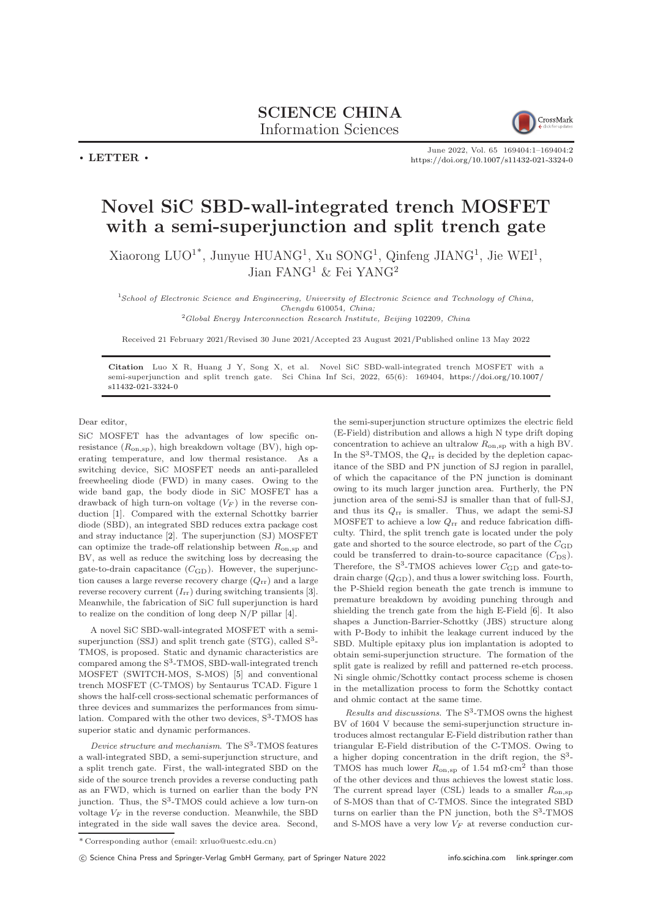

 $\cdot$  LETTER  $\cdot$ 

June 2022, Vol. 65 169404:1–169404[:2](#page-1-0) <https://doi.org/10.1007/s11432-021-3324-0>

## Novel SiC SBD-wall-integrated trench MOSFET with a semi-superjunction and split trench gate

Xiaorong LUO<sup>1\*</sup>, Junyue HUANG<sup>1</sup>, Xu SONG<sup>1</sup>, Qinfeng JIANG<sup>1</sup>, Jie WEI<sup>1</sup>, Jian  $FANG<sup>1</sup>$  & Fei YANG<sup>2</sup>

<sup>1</sup>School of Electronic Science and Engineering, University of Electronic Science and Technology of China, Chengdu 610054, China;

<sup>2</sup>Global Energy Interconnection Research Institute, Beijing 102209, China

Received 21 February 2021/Revised 30 June 2021/Accepted 23 August 2021/Published online 13 May 2022

Citation Luo X R, Huang J Y, Song X, et al. Novel SiC SBD-wall-integrated trench MOSFET with a semi-superjunction and split trench gate. Sci China Inf Sci, 2022, 65(6): 169404, [https://doi.org/10.1007/](https://doi.org/10.1007/s11432-021-3324-0) [s11432-021-3324-0](https://doi.org/10.1007/s11432-021-3324-0)

Dear editor,

SiC MOSFET has the advantages of low specific onresistance  $(R_{\text{on},sp})$ , high breakdown voltage (BV), high operating temperature, and low thermal resistance. As a switching device, SiC MOSFET needs an anti-paralleled freewheeling diode (FWD) in many cases. Owing to the wide band gap, the body diode in SiC MOSFET has a drawback of high turn-on voltage  $(V_F)$  in the reverse conduction [\[1\]](#page-1-1). Compared with the external Schottky barrier diode (SBD), an integrated SBD reduces extra package cost and stray inductance [\[2\]](#page-1-2). The superjunction (SJ) MOSFET can optimize the trade-off relationship between  $R_{on,sp}$  and BV, as well as reduce the switching loss by decreasing the gate-to-drain capacitance  $(C_{\text{GD}})$ . However, the superjunction causes a large reverse recovery charge  $(Q_{rr})$  and a large reverse recovery current  $(I_{rr})$  during switching transients [\[3\]](#page-1-3). Meanwhile, the fabrication of SiC full superjunction is hard to realize on the condition of long deep N/P pillar [\[4\]](#page-1-4).

A novel SiC SBD-wall-integrated MOSFET with a semisuperjunction (SSJ) and split trench gate (STG), called  $S<sup>3</sup>$ -TMOS, is proposed. Static and dynamic characteristics are compared among the S<sup>3</sup> -TMOS, SBD-wall-integrated trench MOSFET (SWITCH-MOS, S-MOS) [\[5\]](#page-1-5) and conventional trench MOSFET (C-TMOS) by Sentaurus TCAD. Figure 1 shows the half-cell cross-sectional schematic performances of three devices and summarizes the performances from simulation. Compared with the other two devices,  $S^3$ -TMOS has superior static and dynamic performances.

Device structure and mechanism. The  $S^3$ -TMOS features a wall-integrated SBD, a semi-superjunction structure, and a split trench gate. First, the wall-integrated SBD on the side of the source trench provides a reverse conducting path as an FWD, which is turned on earlier than the body PN junction. Thus, the S<sup>3</sup>-TMOS could achieve a low turn-on voltage  $V_F$  in the reverse conduction. Meanwhile, the SBD integrated in the side wall saves the device area. Second,

the semi-superjunction structure optimizes the electric field (E-Field) distribution and allows a high N type drift doping concentration to achieve an ultralow  $R_{\rm on,sp}$  with a high BV. In the  $S^3$ -TMOS, the  $Q_{rr}$  is decided by the depletion capacitance of the SBD and PN junction of SJ region in parallel, of which the capacitance of the PN junction is dominant owing to its much larger junction area. Furtherly, the PN junction area of the semi-SJ is smaller than that of full-SJ, and thus its  $Q_{rr}$  is smaller. Thus, we adapt the semi-SJ MOSFET to achieve a low  $Q_{rr}$  and reduce fabrication difficulty. Third, the split trench gate is located under the poly gate and shorted to the source electrode, so part of the  $C_{\text{GD}}$ could be transferred to drain-to-source capacitance  $(C_{DS})$ . Therefore, the  $S^3$ -TMOS achieves lower  $C_{GD}$  and gate-todrain charge  $(Q<sub>GD</sub>)$ , and thus a lower switching loss. Fourth, the P-Shield region beneath the gate trench is immune to premature breakdown by avoiding punching through and shielding the trench gate from the high E-Field [\[6\]](#page-1-6). It also shapes a Junction-Barrier-Schottky (JBS) structure along with P-Body to inhibit the leakage current induced by the SBD. Multiple epitaxy plus ion implantation is adopted to obtain semi-superjunction structure. The formation of the split gate is realized by refill and patterned re-etch process. Ni single ohmic/Schottky contact process scheme is chosen in the metallization process to form the Schottky contact and ohmic contact at the same time.

Results and discussions. The  $S^3$ -TMOS owns the highest BV of 1604 V because the semi-superjunction structure introduces almost rectangular E-Field distribution rather than triangular E-Field distribution of the C-TMOS. Owing to a higher doping concentration in the drift region, the  $S<sup>3</sup>$ -TMOS has much lower  $R_{\text{on,sp}}$  of 1.54 m $\Omega$ ·cm<sup>2</sup> than those of the other devices and thus achieves the lowest static loss. The current spread layer (CSL) leads to a smaller  $R_{\text{on,sp}}$ of S-MOS than that of C-TMOS. Since the integrated SBD turns on earlier than the PN junction, both the S<sup>3</sup>-TMOS and S-MOS have a very low  $V_F$  at reverse conduction cur-

<sup>\*</sup> Corresponding author (email: xrluo@uestc.edu.cn)

c Science China Press and Springer-Verlag GmbH Germany, part of Springer Nature 2022 <info.scichina.com><link.springer.com>